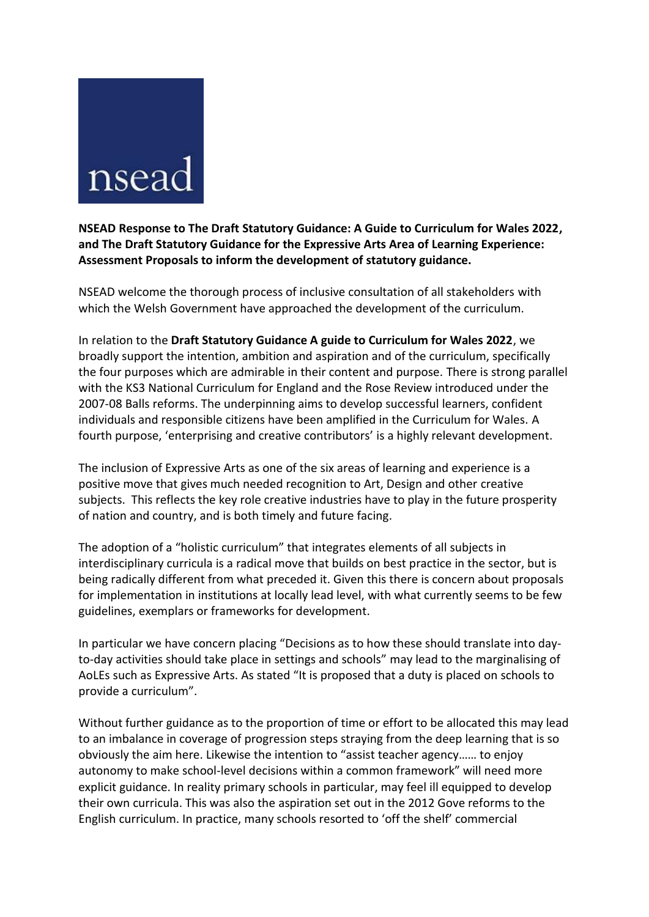## nsea

**NSEAD Response to The Draft Statutory Guidance: A Guide to Curriculum for Wales 2022, and The Draft Statutory Guidance for the Expressive Arts Area of Learning Experience: Assessment Proposals to inform the development of statutory guidance.**

NSEAD welcome the thorough process of inclusive consultation of all stakeholders with which the Welsh Government have approached the development of the curriculum.

In relation to the **Draft Statutory Guidance A guide to Curriculum for Wales 2022**, we broadly support the intention, ambition and aspiration and of the curriculum, specifically the four purposes which are admirable in their content and purpose. There is strong parallel with the KS3 National Curriculum for England and the Rose Review introduced under the 2007-08 Balls reforms. The underpinning aims to develop successful learners, confident individuals and responsible citizens have been amplified in the Curriculum for Wales. A fourth purpose, 'enterprising and creative contributors' is a highly relevant development.

The inclusion of Expressive Arts as one of the six areas of learning and experience is a positive move that gives much needed recognition to Art, Design and other creative subjects. This reflects the key role creative industries have to play in the future prosperity of nation and country, and is both timely and future facing.

The adoption of a "holistic curriculum" that integrates elements of all subjects in interdisciplinary curricula is a radical move that builds on best practice in the sector, but is being radically different from what preceded it. Given this there is concern about proposals for implementation in institutions at locally lead level, with what currently seems to be few guidelines, exemplars or frameworks for development.

In particular we have concern placing "Decisions as to how these should translate into dayto-day activities should take place in settings and schools" may lead to the marginalising of AoLEs such as Expressive Arts. As stated "It is proposed that a duty is placed on schools to provide a curriculum".

Without further guidance as to the proportion of time or effort to be allocated this may lead to an imbalance in coverage of progression steps straying from the deep learning that is so obviously the aim here. Likewise the intention to "assist teacher agency…… to enjoy autonomy to make school-level decisions within a common framework" will need more explicit guidance. In reality primary schools in particular, may feel ill equipped to develop their own curricula. This was also the aspiration set out in the 2012 Gove reforms to the English curriculum. In practice, many schools resorted to 'off the shelf' commercial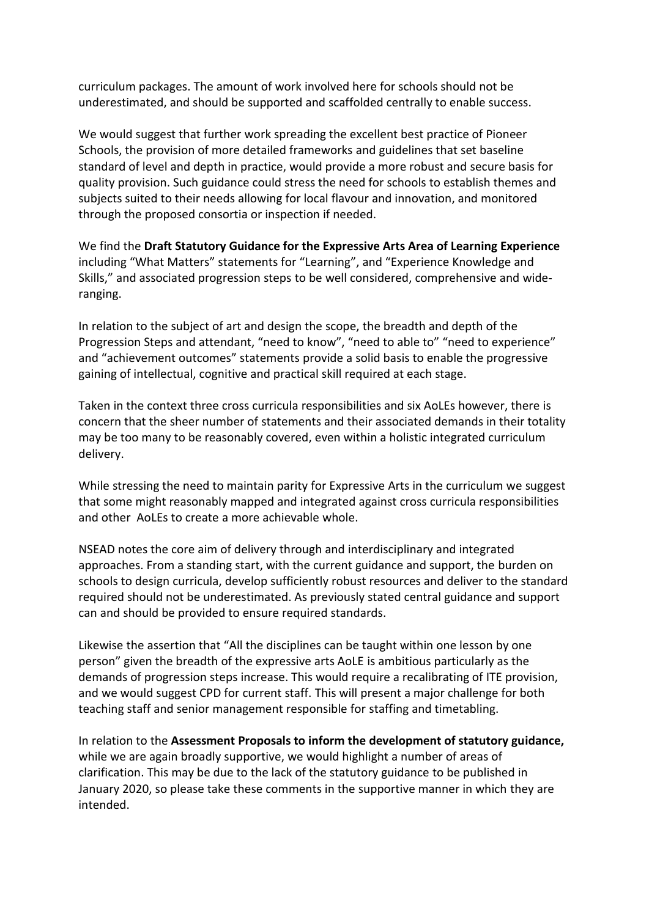curriculum packages. The amount of work involved here for schools should not be underestimated, and should be supported and scaffolded centrally to enable success.

We would suggest that further work spreading the excellent best practice of Pioneer Schools, the provision of more detailed frameworks and guidelines that set baseline standard of level and depth in practice, would provide a more robust and secure basis for quality provision. Such guidance could stress the need for schools to establish themes and subjects suited to their needs allowing for local flavour and innovation, and monitored through the proposed consortia or inspection if needed.

We find the **Draft Statutory Guidance for the Expressive Arts Area of Learning Experience**  including "What Matters" statements for "Learning", and "Experience Knowledge and Skills," and associated progression steps to be well considered, comprehensive and wideranging.

In relation to the subject of art and design the scope, the breadth and depth of the Progression Steps and attendant, "need to know", "need to able to" "need to experience" and "achievement outcomes" statements provide a solid basis to enable the progressive gaining of intellectual, cognitive and practical skill required at each stage.

Taken in the context three cross curricula responsibilities and six AoLEs however, there is concern that the sheer number of statements and their associated demands in their totality may be too many to be reasonably covered, even within a holistic integrated curriculum delivery.

While stressing the need to maintain parity for Expressive Arts in the curriculum we suggest that some might reasonably mapped and integrated against cross curricula responsibilities and other AoLEs to create a more achievable whole.

NSEAD notes the core aim of delivery through and interdisciplinary and integrated approaches. From a standing start, with the current guidance and support, the burden on schools to design curricula, develop sufficiently robust resources and deliver to the standard required should not be underestimated. As previously stated central guidance and support can and should be provided to ensure required standards.

Likewise the assertion that "All the disciplines can be taught within one lesson by one person" given the breadth of the expressive arts AoLE is ambitious particularly as the demands of progression steps increase. This would require a recalibrating of ITE provision, and we would suggest CPD for current staff. This will present a major challenge for both teaching staff and senior management responsible for staffing and timetabling.

In relation to the **Assessment Proposals to inform the development of statutory guidance,**  while we are again broadly supportive, we would highlight a number of areas of clarification. This may be due to the lack of the statutory guidance to be published in January 2020, so please take these comments in the supportive manner in which they are intended.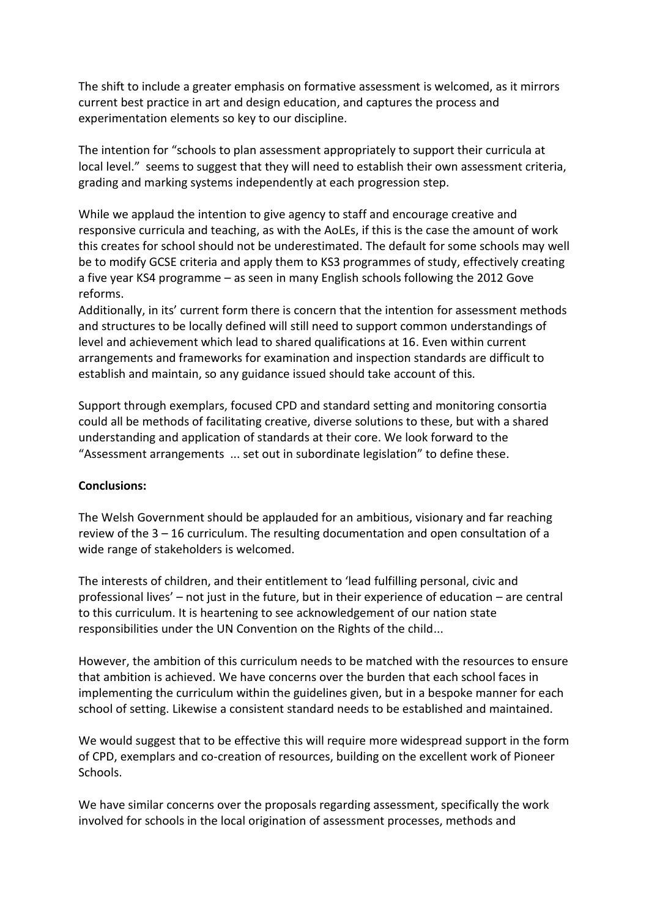The shift to include a greater emphasis on formative assessment is welcomed, as it mirrors current best practice in art and design education, and captures the process and experimentation elements so key to our discipline.

The intention for "schools to plan assessment appropriately to support their curricula at local level." seems to suggest that they will need to establish their own assessment criteria, grading and marking systems independently at each progression step.

While we applaud the intention to give agency to staff and encourage creative and responsive curricula and teaching, as with the AoLEs, if this is the case the amount of work this creates for school should not be underestimated. The default for some schools may well be to modify GCSE criteria and apply them to KS3 programmes of study, effectively creating a five year KS4 programme – as seen in many English schools following the 2012 Gove reforms.

Additionally, in its' current form there is concern that the intention for assessment methods and structures to be locally defined will still need to support common understandings of level and achievement which lead to shared qualifications at 16. Even within current arrangements and frameworks for examination and inspection standards are difficult to establish and maintain, so any guidance issued should take account of this.

Support through exemplars, focused CPD and standard setting and monitoring consortia could all be methods of facilitating creative, diverse solutions to these, but with a shared understanding and application of standards at their core. We look forward to the "Assessment arrangements ... set out in subordinate legislation" to define these.

## **Conclusions:**

The Welsh Government should be applauded for an ambitious, visionary and far reaching review of the 3 – 16 curriculum. The resulting documentation and open consultation of a wide range of stakeholders is welcomed.

The interests of children, and their entitlement to 'lead fulfilling personal, civic and professional lives' – not just in the future, but in their experience of education – are central to this curriculum. It is heartening to see acknowledgement of our nation state responsibilities under the UN Convention on the Rights of the child...

However, the ambition of this curriculum needs to be matched with the resources to ensure that ambition is achieved. We have concerns over the burden that each school faces in implementing the curriculum within the guidelines given, but in a bespoke manner for each school of setting. Likewise a consistent standard needs to be established and maintained.

We would suggest that to be effective this will require more widespread support in the form of CPD, exemplars and co-creation of resources, building on the excellent work of Pioneer Schools.

We have similar concerns over the proposals regarding assessment, specifically the work involved for schools in the local origination of assessment processes, methods and